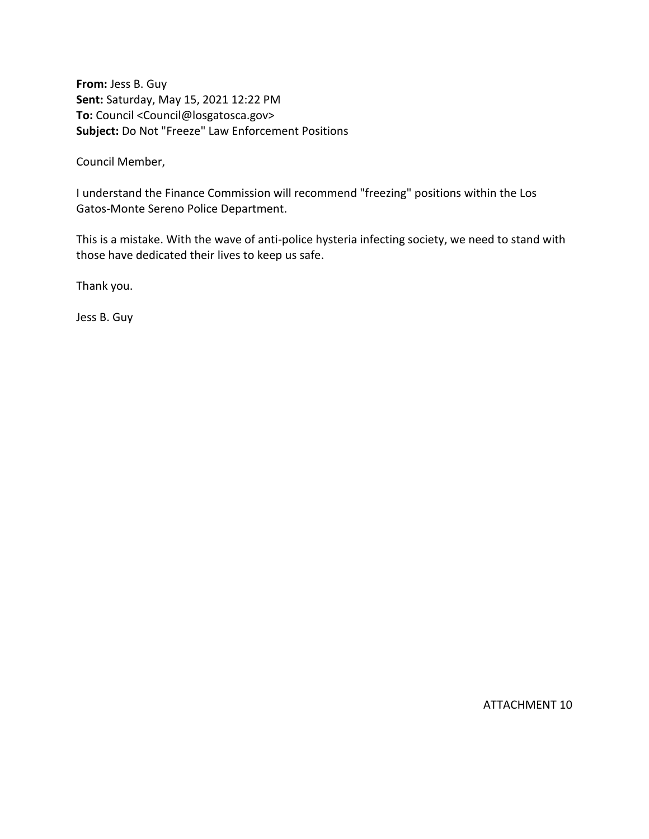**From:** Jess B. Guy **Sent:** Saturday, May 15, 2021 12:22 PM **To:** Council <Council@losgatosca.gov> **Subject:** Do Not "Freeze" Law Enforcement Positions

Council Member,

I understand the Finance Commission will recommend "freezing" positions within the Los Gatos-Monte Sereno Police Department.

This is a mistake. With the wave of anti-police hysteria infecting society, we need to stand with those have dedicated their lives to keep us safe.

Thank you.

Jess B. Guy

ATTACHMENT 10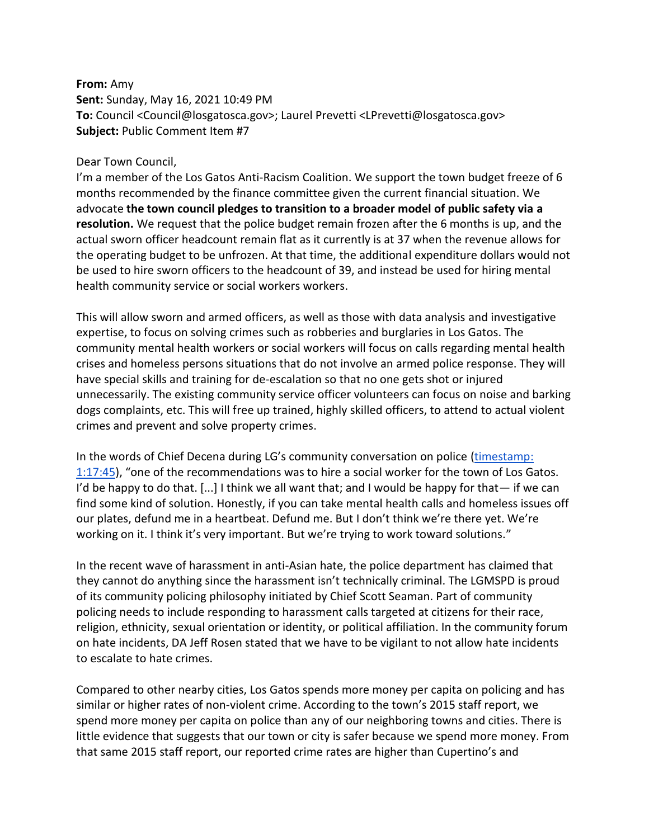## **From:** Amy **Sent:** Sunday, May 16, 2021 10:49 PM **To:** Council <Council@losgatosca.gov>; Laurel Prevetti <LPrevetti@losgatosca.gov> **Subject:** Public Comment Item #7

## Dear Town Council,

I'm a member of the Los Gatos Anti-Racism Coalition. We support the town budget freeze of 6 months recommended by the finance committee given the current financial situation. We advocate **the town council pledges to transition to a broader model of public safety via a resolution.** We request that the police budget remain frozen after the 6 months is up, and the actual sworn officer headcount remain flat as it currently is at 37 when the revenue allows for the operating budget to be unfrozen. At that time, the additional expenditure dollars would not be used to hire sworn officers to the headcount of 39, and instead be used for hiring mental health community service or social workers workers.

This will allow sworn and armed officers, as well as those with data analysis and investigative expertise, to focus on solving crimes such as robberies and burglaries in Los Gatos. The community mental health workers or social workers will focus on calls regarding mental health crises and homeless persons situations that do not involve an armed police response. They will have special skills and training for de-escalation so that no one gets shot or injured unnecessarily. The existing community service officer volunteers can focus on noise and barking dogs complaints, etc. This will free up trained, highly skilled officers, to attend to actual violent crimes and prevent and solve property crimes.

In the words of Chief Decena during LG's community conversation on police (timestamp: [1:17:45](https://gcc02.safelinks.protection.outlook.com/?url=https%3A%2F%2Fwww.youtube.com%2Fwatch%3Fv%3D79K2XgExQzo&data=04%7C01%7Ccouncil%40losgatosca.gov%7Cf2cbc961258c49fd6c9408d918f7c67a%7C6d38cb6747eb4d139e7c523cd7ccecd5%7C1%7C0%7C637568274751764917%7CUnknown%7CTWFpbGZsb3d8eyJWIjoiMC4wLjAwMDAiLCJQIjoiV2luMzIiLCJBTiI6Ik1haWwiLCJXVCI6Mn0%3D%7C1000&sdata=9wjMF9H3h6xIsqbFvza78iP8Anni29L6YnQKYxhioQQ%3D&reserved=0)), "one of the recommendations was to hire a social worker for the town of Los Gatos. I'd be happy to do that.  $[...]$  I think we all want that; and I would be happy for that— if we can find some kind of solution. Honestly, if you can take mental health calls and homeless issues off our plates, defund me in a heartbeat. Defund me. But I don't think we're there yet. We're working on it. I think it's very important. But we're trying to work toward solutions."

In the recent wave of harassment in anti-Asian hate, the police department has claimed that they cannot do anything since the harassment isn't technically criminal. The LGMSPD is proud of its community policing philosophy initiated by Chief Scott Seaman. Part of community policing needs to include responding to harassment calls targeted at citizens for their race, religion, ethnicity, sexual orientation or identity, or political affiliation. In the community forum on hate incidents, DA Jeff Rosen stated that we have to be vigilant to not allow hate incidents to escalate to hate crimes.

Compared to other nearby cities, Los Gatos spends more money per capita on policing and has similar or higher rates of non-violent crime. According to the town's 2015 staff report, we spend more money per capita on police than any of our neighboring towns and cities. There is little evidence that suggests that our town or city is safer because we spend more money. From that same 2015 staff report, our reported crime rates are higher than Cupertino's and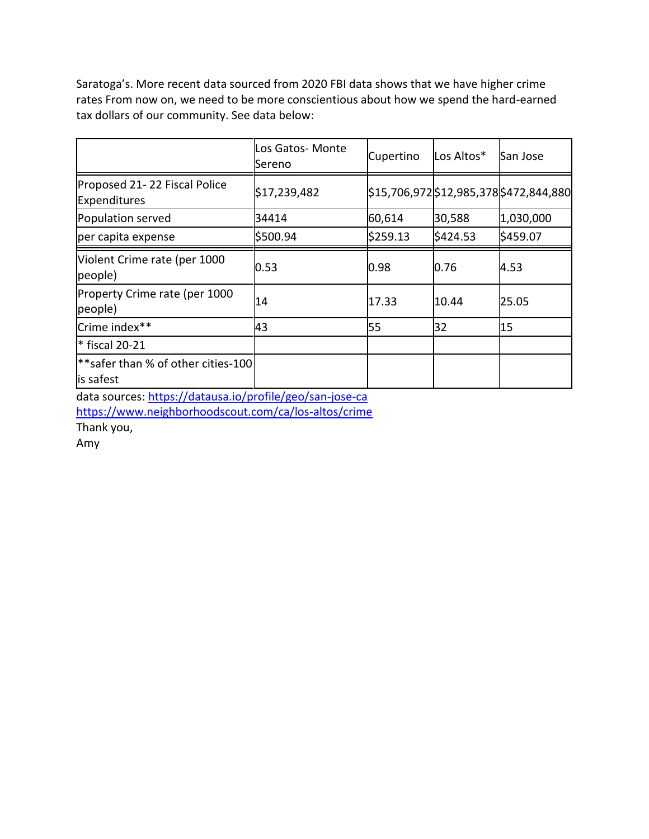Saratoga's. More recent data sourced from 2020 FBI data shows that we have higher crime rates From now on, we need to be more conscientious about how we spend the hard-earned tax dollars of our community. See data below:

|                                                             | Los Gatos- Monte<br>Sereno | Cupertino | Los Altos* | San Jose                                |
|-------------------------------------------------------------|----------------------------|-----------|------------|-----------------------------------------|
| Proposed 21-22 Fiscal Police<br>Expenditures                | \$17,239,482               |           |            | \$15,706,972 \$12,985,378 \$472,844,880 |
| Population served                                           | 34414                      | 60,614    | 30,588     | 1,030,000                               |
| per capita expense                                          | \$500.94                   | \$259.13  | \$424.53   | \$459.07                                |
| Violent Crime rate (per 1000<br>people)                     | 0.53                       | 0.98      | 0.76       | 4.53                                    |
| Property Crime rate (per 1000<br>people)                    | 14                         | 17.33     | 10.44      | 25.05                                   |
| Crime index**                                               | 43                         | 55        | 32         | 15                                      |
| $*$ fiscal 20-21                                            |                            |           |            |                                         |
| <sup>**</sup> safer than % of other cities-100<br>is safest |                            |           |            |                                         |

data sources[: https://datausa.io/profile/geo/san-jose-ca](https://datausa.io/profile/geo/san-jose-ca)

<https://www.neighborhoodscout.com/ca/los-altos/crime>

Thank you,

Amy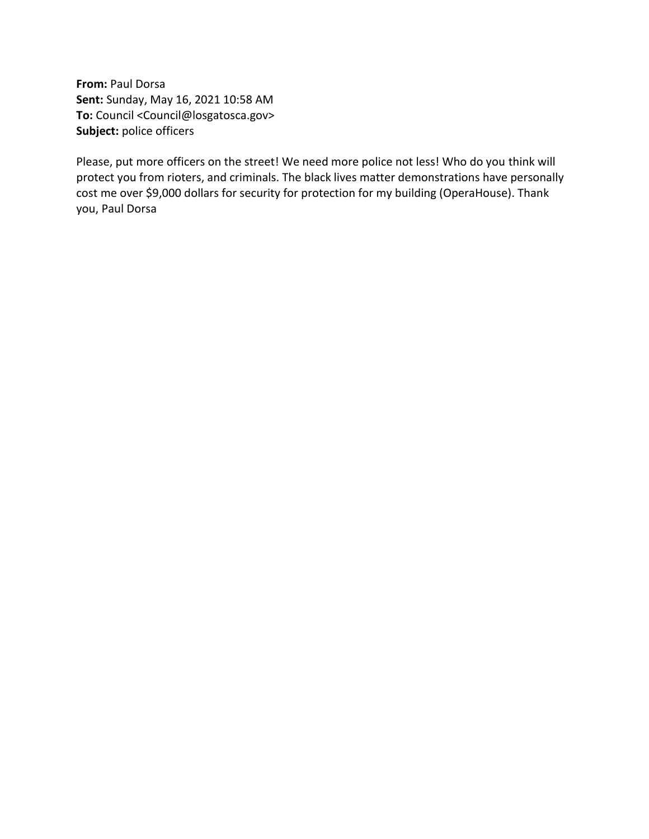**From:** Paul Dorsa **Sent:** Sunday, May 16, 2021 10:58 AM **To:** Council <Council@losgatosca.gov> **Subject:** police officers

Please, put more officers on the street! We need more police not less! Who do you think will protect you from rioters, and criminals. The black lives matter demonstrations have personally cost me over \$9,000 dollars for security for protection for my building (OperaHouse). Thank you, Paul Dorsa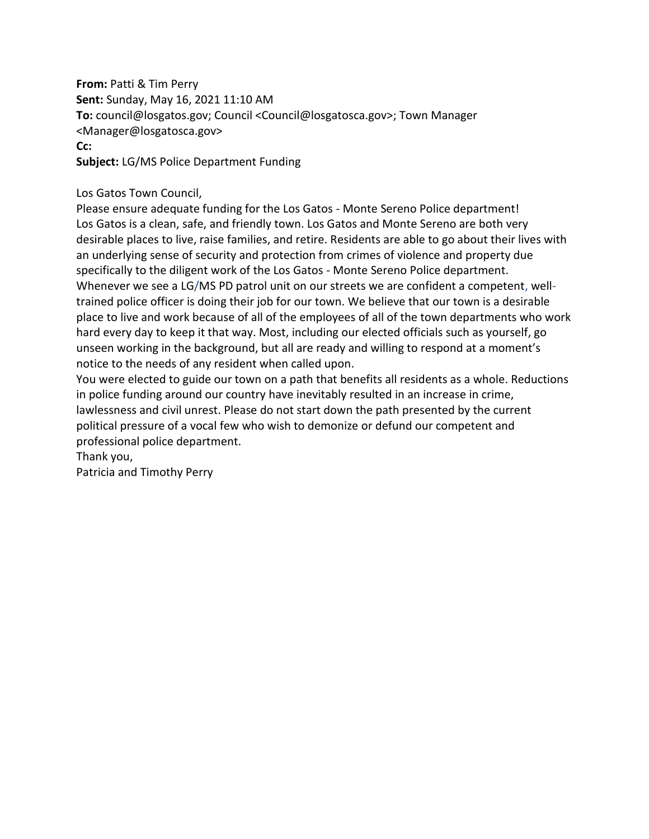**From:** Patti & Tim Perry **Sent:** Sunday, May 16, 2021 11:10 AM **To:** council@losgatos.gov; Council <Council@losgatosca.gov>; Town Manager <Manager@losgatosca.gov> **Cc: Subject:** LG/MS Police Department Funding

## Los Gatos Town Council,

Please ensure adequate funding for the Los Gatos - Monte Sereno Police department! Los Gatos is a clean, safe, and friendly town. Los Gatos and Monte Sereno are both very desirable places to live, raise families, and retire. Residents are able to go about their lives with an underlying sense of security and protection from crimes of violence and property due specifically to the diligent work of the Los Gatos - Monte Sereno Police department. Whenever we see a LG/MS PD patrol unit on our streets we are confident a competent, welltrained police officer is doing their job for our town. We believe that our town is a desirable place to live and work because of all of the employees of all of the town departments who work hard every day to keep it that way. Most, including our elected officials such as yourself, go unseen working in the background, but all are ready and willing to respond at a moment's notice to the needs of any resident when called upon.

You were elected to guide our town on a path that benefits all residents as a whole. Reductions in police funding around our country have inevitably resulted in an increase in crime, lawlessness and civil unrest. Please do not start down the path presented by the current political pressure of a vocal few who wish to demonize or defund our competent and professional police department.

Thank you,

Patricia and Timothy Perry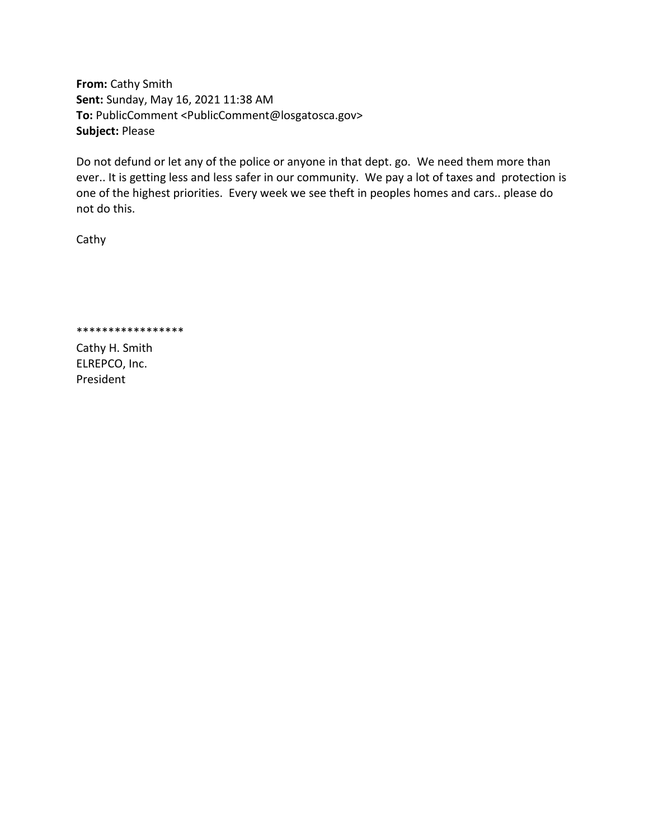**From:** Cathy Smith **Sent:** Sunday, May 16, 2021 11:38 AM **To:** PublicComment <PublicComment@losgatosca.gov> **Subject:** Please

Do not defund or let any of the police or anyone in that dept. go. We need them more than ever.. It is getting less and less safer in our community. We pay a lot of taxes and protection is one of the highest priorities. Every week we see theft in peoples homes and cars.. please do not do this.

Cathy

\*\*\*\*\*\*\*\*\*\*\*\*\*\*\*\*\*

Cathy H. Smith ELREPCO, Inc. President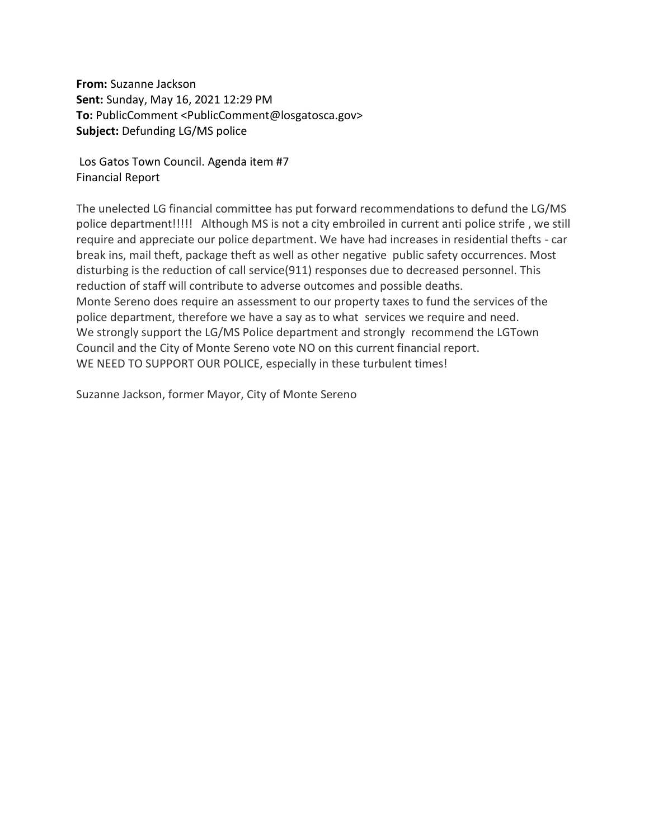**From:** Suzanne Jackson **Sent:** Sunday, May 16, 2021 12:29 PM **To:** PublicComment <PublicComment@losgatosca.gov> **Subject:** Defunding LG/MS police

Los Gatos Town Council. Agenda item #7 Financial Report

The unelected LG financial committee has put forward recommendations to defund the LG/MS police department!!!!! Although MS is not a city embroiled in current anti police strife , we still require and appreciate our police department. We have had increases in residential thefts - car break ins, mail theft, package theft as well as other negative public safety occurrences. Most disturbing is the reduction of call service(911) responses due to decreased personnel. This reduction of staff will contribute to adverse outcomes and possible deaths. Monte Sereno does require an assessment to our property taxes to fund the services of the police department, therefore we have a say as to what services we require and need. We strongly support the LG/MS Police department and strongly recommend the LGTown Council and the City of Monte Sereno vote NO on this current financial report. WE NEED TO SUPPORT OUR POLICE, especially in these turbulent times!

Suzanne Jackson, former Mayor, City of Monte Sereno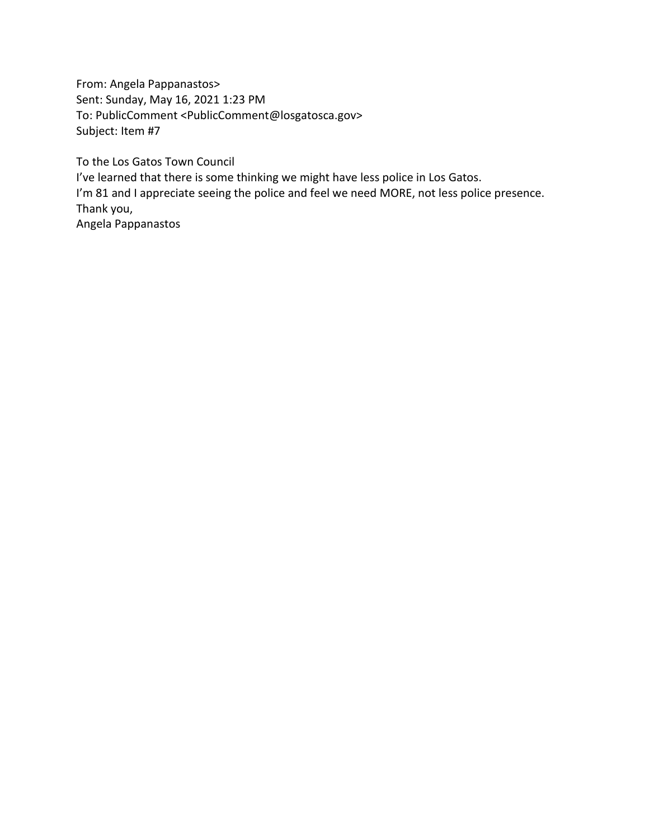From: Angela Pappanastos> Sent: Sunday, May 16, 2021 1:23 PM To: PublicComment <PublicComment@losgatosca.gov> Subject: Item #7

To the Los Gatos Town Council I've learned that there is some thinking we might have less police in Los Gatos. I'm 81 and I appreciate seeing the police and feel we need MORE, not less police presence. Thank you, Angela Pappanastos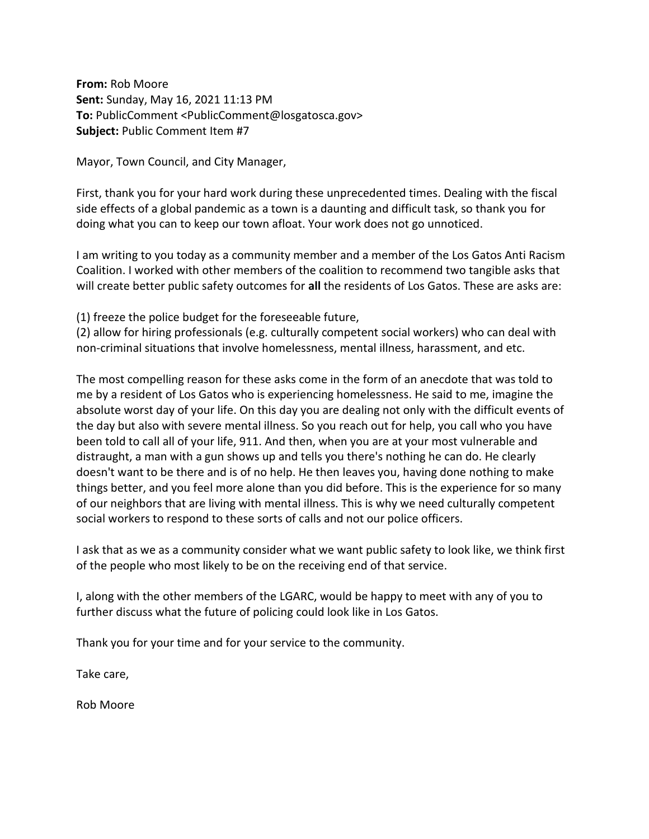**From:** Rob Moore **Sent:** Sunday, May 16, 2021 11:13 PM **To:** PublicComment <PublicComment@losgatosca.gov> **Subject:** Public Comment Item #7

Mayor, Town Council, and City Manager,

First, thank you for your hard work during these unprecedented times. Dealing with the fiscal side effects of a global pandemic as a town is a daunting and difficult task, so thank you for doing what you can to keep our town afloat. Your work does not go unnoticed.

I am writing to you today as a community member and a member of the Los Gatos Anti Racism Coalition. I worked with other members of the coalition to recommend two tangible asks that will create better public safety outcomes for **all** the residents of Los Gatos. These are asks are:

(1) freeze the police budget for the foreseeable future,

(2) allow for hiring professionals (e.g. culturally competent social workers) who can deal with non-criminal situations that involve homelessness, mental illness, harassment, and etc.

The most compelling reason for these asks come in the form of an anecdote that was told to me by a resident of Los Gatos who is experiencing homelessness. He said to me, imagine the absolute worst day of your life. On this day you are dealing not only with the difficult events of the day but also with severe mental illness. So you reach out for help, you call who you have been told to call all of your life, 911. And then, when you are at your most vulnerable and distraught, a man with a gun shows up and tells you there's nothing he can do. He clearly doesn't want to be there and is of no help. He then leaves you, having done nothing to make things better, and you feel more alone than you did before. This is the experience for so many of our neighbors that are living with mental illness. This is why we need culturally competent social workers to respond to these sorts of calls and not our police officers.

I ask that as we as a community consider what we want public safety to look like, we think first of the people who most likely to be on the receiving end of that service.

I, along with the other members of the LGARC, would be happy to meet with any of you to further discuss what the future of policing could look like in Los Gatos.

Thank you for your time and for your service to the community.

Take care,

Rob Moore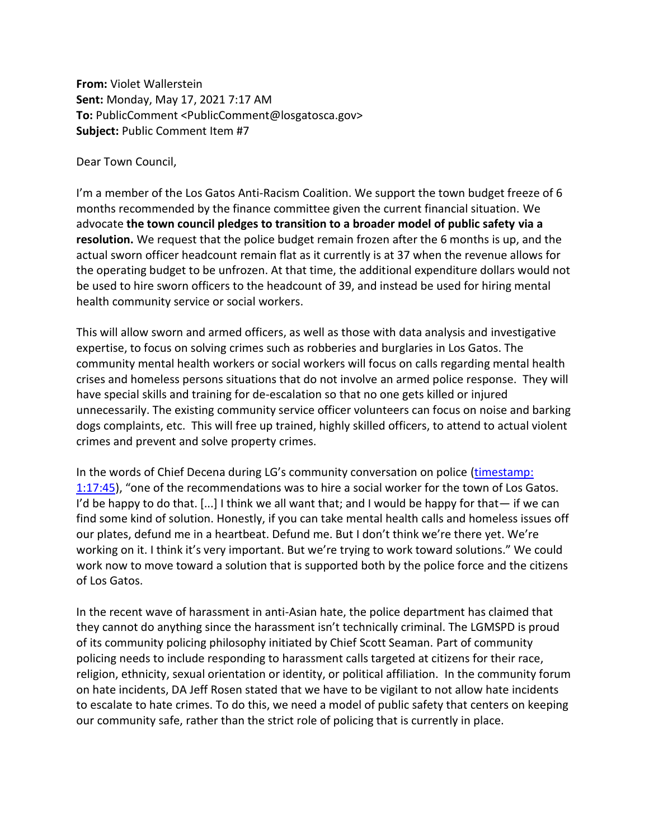**From:** Violet Wallerstein **Sent:** Monday, May 17, 2021 7:17 AM **To:** PublicComment <PublicComment@losgatosca.gov> **Subject:** Public Comment Item #7

Dear Town Council,

I'm a member of the Los Gatos Anti-Racism Coalition. We support the town budget freeze of 6 months recommended by the finance committee given the current financial situation. We advocate **the town council pledges to transition to a broader model of public safety via a resolution.** We request that the police budget remain frozen after the 6 months is up, and the actual sworn officer headcount remain flat as it currently is at 37 when the revenue allows for the operating budget to be unfrozen. At that time, the additional expenditure dollars would not be used to hire sworn officers to the headcount of 39, and instead be used for hiring mental health community service or social workers.

This will allow sworn and armed officers, as well as those with data analysis and investigative expertise, to focus on solving crimes such as robberies and burglaries in Los Gatos. The community mental health workers or social workers will focus on calls regarding mental health crises and homeless persons situations that do not involve an armed police response. They will have special skills and training for de-escalation so that no one gets killed or injured unnecessarily. The existing community service officer volunteers can focus on noise and barking dogs complaints, etc. This will free up trained, highly skilled officers, to attend to actual violent crimes and prevent and solve property crimes.

In the words of Chief Decena during LG's community conversation on police [\(timestamp:](https://gcc02.safelinks.protection.outlook.com/?url=https%3A%2F%2Fwww.youtube.com%2Fwatch%3Fv%3D79K2XgExQzo&data=04%7C01%7Cpubliccomment%40losgatosca.gov%7C63f67ea12f5d48271b4608d9193e7b77%7C6d38cb6747eb4d139e7c523cd7ccecd5%7C1%7C0%7C637568579198373107%7CUnknown%7CTWFpbGZsb3d8eyJWIjoiMC4wLjAwMDAiLCJQIjoiV2luMzIiLCJBTiI6Ik1haWwiLCJXVCI6Mn0%3D%7C2000&sdata=%2BmPtXdSIV8cr79g1rBHPZqn%2BgnvmAxcwnuFGh4whtNk%3D&reserved=0)  [1:17:45](https://gcc02.safelinks.protection.outlook.com/?url=https%3A%2F%2Fwww.youtube.com%2Fwatch%3Fv%3D79K2XgExQzo&data=04%7C01%7Cpubliccomment%40losgatosca.gov%7C63f67ea12f5d48271b4608d9193e7b77%7C6d38cb6747eb4d139e7c523cd7ccecd5%7C1%7C0%7C637568579198373107%7CUnknown%7CTWFpbGZsb3d8eyJWIjoiMC4wLjAwMDAiLCJQIjoiV2luMzIiLCJBTiI6Ik1haWwiLCJXVCI6Mn0%3D%7C2000&sdata=%2BmPtXdSIV8cr79g1rBHPZqn%2BgnvmAxcwnuFGh4whtNk%3D&reserved=0)), "one of the recommendations was to hire a social worker for the town of Los Gatos. I'd be happy to do that.  $[\dots]$  I think we all want that; and I would be happy for that— if we can find some kind of solution. Honestly, if you can take mental health calls and homeless issues off our plates, defund me in a heartbeat. Defund me. But I don't think we're there yet. We're working on it. I think it's very important. But we're trying to work toward solutions." We could work now to move toward a solution that is supported both by the police force and the citizens of Los Gatos.

In the recent wave of harassment in anti-Asian hate, the police department has claimed that they cannot do anything since the harassment isn't technically criminal. The LGMSPD is proud of its community policing philosophy initiated by Chief Scott Seaman. Part of community policing needs to include responding to harassment calls targeted at citizens for their race, religion, ethnicity, sexual orientation or identity, or political affiliation. In the community forum on hate incidents, DA Jeff Rosen stated that we have to be vigilant to not allow hate incidents to escalate to hate crimes. To do this, we need a model of public safety that centers on keeping our community safe, rather than the strict role of policing that is currently in place.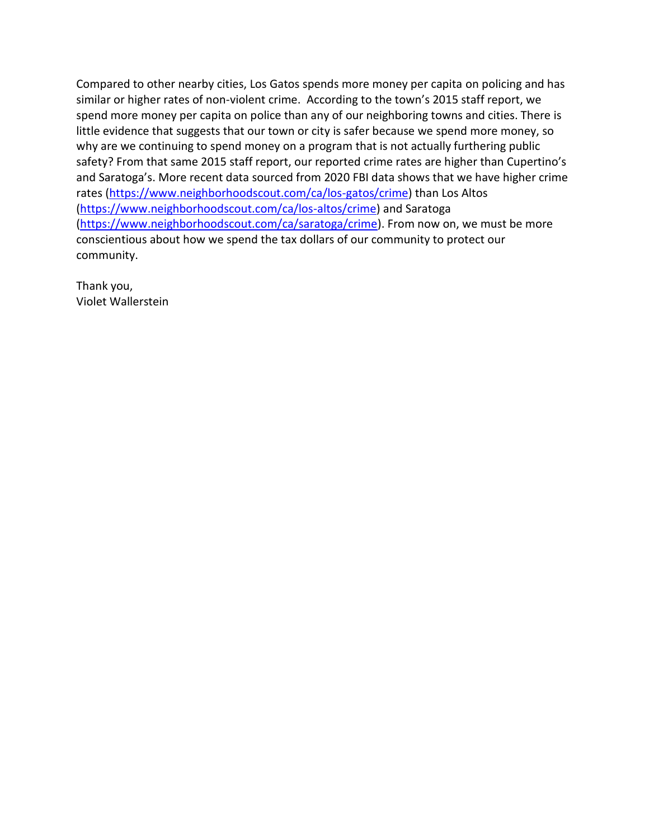Compared to other nearby cities, Los Gatos spends more money per capita on policing and has similar or higher rates of non-violent crime. According to the town's 2015 staff report, we spend more money per capita on police than any of our neighboring towns and cities. There is little evidence that suggests that our town or city is safer because we spend more money, so why are we continuing to spend money on a program that is not actually furthering public safety? From that same 2015 staff report, our reported crime rates are higher than Cupertino's and Saratoga's. More recent data sourced from 2020 FBI data shows that we have higher crime rates [\(https://www.neighborhoodscout.com/ca/los-gatos/crime\)](https://gcc02.safelinks.protection.outlook.com/?url=https%3A%2F%2Fwww.neighborhoodscout.com%2Fca%2Flos-gatos%2Fcrime&data=04%7C01%7Cpubliccomment%40losgatosca.gov%7C63f67ea12f5d48271b4608d9193e7b77%7C6d38cb6747eb4d139e7c523cd7ccecd5%7C1%7C0%7C637568579198373107%7CUnknown%7CTWFpbGZsb3d8eyJWIjoiMC4wLjAwMDAiLCJQIjoiV2luMzIiLCJBTiI6Ik1haWwiLCJXVCI6Mn0%3D%7C2000&sdata=XTByMPJvPKTOy053XJKau256%2FjwRp3emZ1TRtzYLkc0%3D&reserved=0) than Los Altos [\(https://www.neighborhoodscout.com/ca/los-altos/crime\)](https://gcc02.safelinks.protection.outlook.com/?url=https%3A%2F%2Fwww.neighborhoodscout.com%2Fca%2Flos-altos%2Fcrime&data=04%7C01%7Cpubliccomment%40losgatosca.gov%7C63f67ea12f5d48271b4608d9193e7b77%7C6d38cb6747eb4d139e7c523cd7ccecd5%7C1%7C0%7C637568579198383072%7CUnknown%7CTWFpbGZsb3d8eyJWIjoiMC4wLjAwMDAiLCJQIjoiV2luMzIiLCJBTiI6Ik1haWwiLCJXVCI6Mn0%3D%7C2000&sdata=fCe%2F8soO7r3X%2Bn5pdX8%2BVXyYk8RBS9Ky9o8IIuZAoE4%3D&reserved=0) and Saratoga [\(https://www.neighborhoodscout.com/ca/saratoga/crime\)](https://gcc02.safelinks.protection.outlook.com/?url=https%3A%2F%2Fwww.neighborhoodscout.com%2Fca%2Fsaratoga%2Fcrime&data=04%7C01%7Cpubliccomment%40losgatosca.gov%7C63f67ea12f5d48271b4608d9193e7b77%7C6d38cb6747eb4d139e7c523cd7ccecd5%7C1%7C0%7C637568579198383072%7CUnknown%7CTWFpbGZsb3d8eyJWIjoiMC4wLjAwMDAiLCJQIjoiV2luMzIiLCJBTiI6Ik1haWwiLCJXVCI6Mn0%3D%7C2000&sdata=cl3MQEmbd%2FjHnyQY63Y8FLkWLETWPqyk2yH1jVQr6o8%3D&reserved=0). From now on, we must be more conscientious about how we spend the tax dollars of our community to protect our community.

Thank you, Violet Wallerstein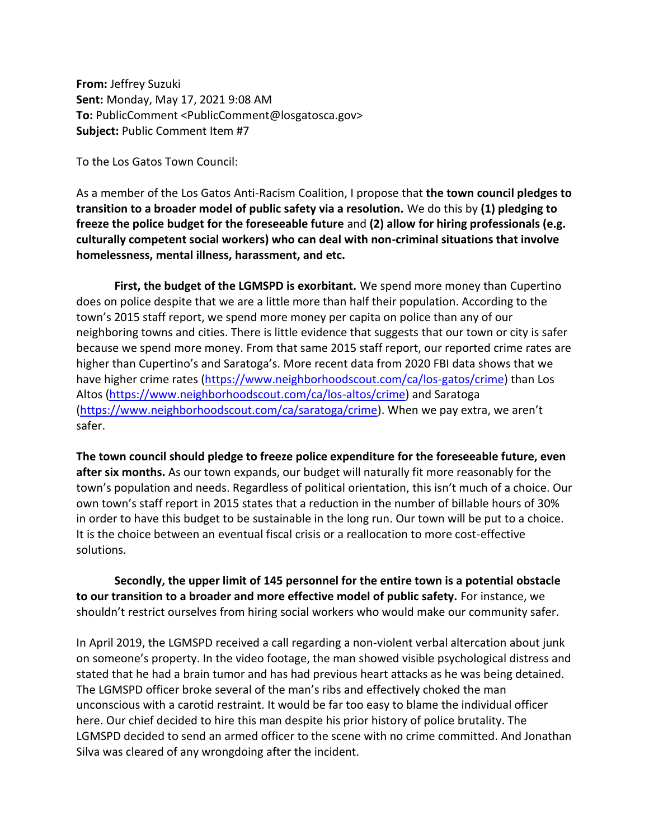**From:** Jeffrey Suzuki **Sent:** Monday, May 17, 2021 9:08 AM **To:** PublicComment <PublicComment@losgatosca.gov> **Subject:** Public Comment Item #7

To the Los Gatos Town Council:

As a member of the Los Gatos Anti-Racism Coalition, I propose that **the town council pledges to transition to a broader model of public safety via a resolution.** We do this by **(1) pledging to freeze the police budget for the foreseeable future** and **(2) allow for hiring professionals (e.g. culturally competent social workers) who can deal with non-criminal situations that involve homelessness, mental illness, harassment, and etc.**

**First, the budget of the LGMSPD is exorbitant.** We spend more money than Cupertino does on police despite that we are a little more than half their population. According to the town's 2015 staff report, we spend more money per capita on police than any of our neighboring towns and cities. There is little evidence that suggests that our town or city is safer because we spend more money. From that same 2015 staff report, our reported crime rates are higher than Cupertino's and Saratoga's. More recent data from 2020 FBI data shows that we have higher crime rates [\(https://www.neighborhoodscout.com/ca/los-gatos/crime\)](https://gcc02.safelinks.protection.outlook.com/?url=https%3A%2F%2Fwww.neighborhoodscout.com%2Fca%2Flos-gatos%2Fcrime&data=04%7C01%7CPublicComment%40losgatosca.gov%7Ccb3648acb0524fc2c77d08d9194e0834%7C6d38cb6747eb4d139e7c523cd7ccecd5%7C1%7C0%7C637568646129838783%7CUnknown%7CTWFpbGZsb3d8eyJWIjoiMC4wLjAwMDAiLCJQIjoiV2luMzIiLCJBTiI6Ik1haWwiLCJXVCI6Mn0%3D%7C2000&sdata=EYXHgj7t%2FKm3EjSo0vgSORQnQwDgpSHlEZMJGTJqZWs%3D&reserved=0) than Los Altos [\(https://www.neighborhoodscout.com/ca/los-altos/crime\)](https://gcc02.safelinks.protection.outlook.com/?url=https%3A%2F%2Fwww.neighborhoodscout.com%2Fca%2Flos-altos%2Fcrime&data=04%7C01%7CPublicComment%40losgatosca.gov%7Ccb3648acb0524fc2c77d08d9194e0834%7C6d38cb6747eb4d139e7c523cd7ccecd5%7C1%7C0%7C637568646129838783%7CUnknown%7CTWFpbGZsb3d8eyJWIjoiMC4wLjAwMDAiLCJQIjoiV2luMzIiLCJBTiI6Ik1haWwiLCJXVCI6Mn0%3D%7C2000&sdata=pwGz%2Bqiw%2FE7DyHQOufJiI4DbM%2FZrzQVL421Ewdhq9qA%3D&reserved=0) and Saratoga [\(https://www.neighborhoodscout.com/ca/saratoga/crime](https://gcc02.safelinks.protection.outlook.com/?url=https%3A%2F%2Fwww.neighborhoodscout.com%2Fca%2Fsaratoga%2Fcrime&data=04%7C01%7CPublicComment%40losgatosca.gov%7Ccb3648acb0524fc2c77d08d9194e0834%7C6d38cb6747eb4d139e7c523cd7ccecd5%7C1%7C0%7C637568646129848747%7CUnknown%7CTWFpbGZsb3d8eyJWIjoiMC4wLjAwMDAiLCJQIjoiV2luMzIiLCJBTiI6Ik1haWwiLCJXVCI6Mn0%3D%7C2000&sdata=7wSEkuSziNGU%2BkQJ8EtzF4zDBDmPlcEryVcar6ZQlJc%3D&reserved=0)). When we pay extra, we aren't safer.

**The town council should pledge to freeze police expenditure for the foreseeable future, even after six months.** As our town expands, our budget will naturally fit more reasonably for the town's population and needs. Regardless of political orientation, this isn't much of a choice. Our own town's staff report in 2015 states that a reduction in the number of billable hours of 30% in order to have this budget to be sustainable in the long run. Our town will be put to a choice. It is the choice between an eventual fiscal crisis or a reallocation to more cost-effective solutions.

**Secondly, the upper limit of 145 personnel for the entire town is a potential obstacle to our transition to a broader and more effective model of public safety.** For instance, we shouldn't restrict ourselves from hiring social workers who would make our community safer.

In April 2019, the LGMSPD received a call regarding a non-violent verbal altercation about junk on someone's property. In the video footage, the man showed visible psychological distress and stated that he had a brain tumor and has had previous heart attacks as he was being detained. The LGMSPD officer broke several of the man's ribs and effectively choked the man unconscious with a carotid restraint. It would be far too easy to blame the individual officer here. Our chief decided to hire this man despite his prior history of police brutality. The LGMSPD decided to send an armed officer to the scene with no crime committed. And Jonathan Silva was cleared of any wrongdoing after the incident.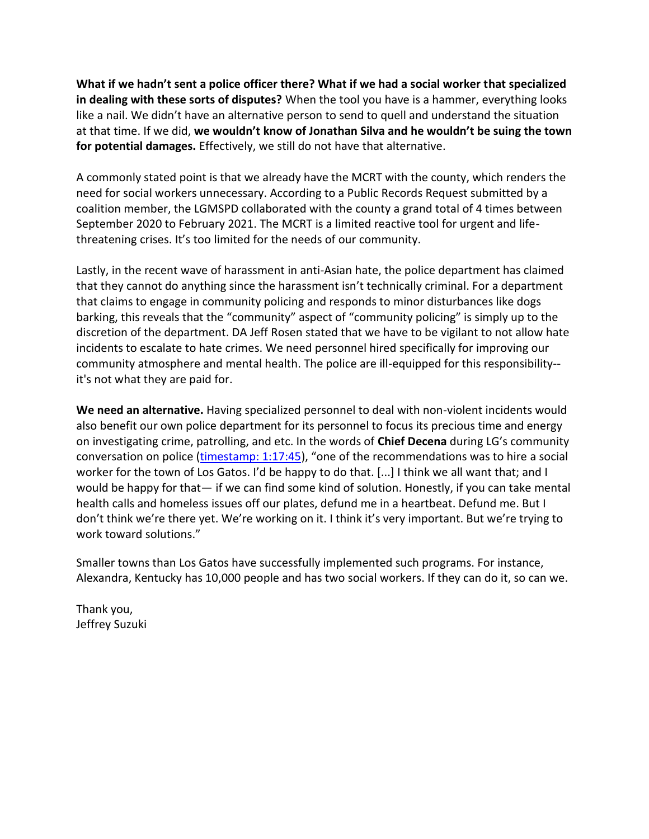**What if we hadn't sent a police officer there? What if we had a social worker that specialized in dealing with these sorts of disputes?** When the tool you have is a hammer, everything looks like a nail. We didn't have an alternative person to send to quell and understand the situation at that time. If we did, **we wouldn't know of Jonathan Silva and he wouldn't be suing the town for potential damages.** Effectively, we still do not have that alternative.

A commonly stated point is that we already have the MCRT with the county, which renders the need for social workers unnecessary. According to a Public Records Request submitted by a coalition member, the LGMSPD collaborated with the county a grand total of 4 times between September 2020 to February 2021. The MCRT is a limited reactive tool for urgent and lifethreatening crises. It's too limited for the needs of our community.

Lastly, in the recent wave of harassment in anti-Asian hate, the police department has claimed that they cannot do anything since the harassment isn't technically criminal. For a department that claims to engage in community policing and responds to minor disturbances like dogs barking, this reveals that the "community" aspect of "community policing" is simply up to the discretion of the department. DA Jeff Rosen stated that we have to be vigilant to not allow hate incidents to escalate to hate crimes. We need personnel hired specifically for improving our community atmosphere and mental health. The police are ill-equipped for this responsibility- it's not what they are paid for.

**We need an alternative.** Having specialized personnel to deal with non-violent incidents would also benefit our own police department for its personnel to focus its precious time and energy on investigating crime, patrolling, and etc. In the words of **Chief Decena** during LG's community conversation on police [\(timestamp: 1:17:45](https://gcc02.safelinks.protection.outlook.com/?url=https%3A%2F%2Fwww.youtube.com%2Fwatch%3Fv%3D79K2XgExQzo&data=04%7C01%7CPublicComment%40losgatosca.gov%7Ccb3648acb0524fc2c77d08d9194e0834%7C6d38cb6747eb4d139e7c523cd7ccecd5%7C1%7C0%7C637568646129848747%7CUnknown%7CTWFpbGZsb3d8eyJWIjoiMC4wLjAwMDAiLCJQIjoiV2luMzIiLCJBTiI6Ik1haWwiLCJXVCI6Mn0%3D%7C2000&sdata=K9b1UQQZw6v9Acwq10bqJmnZFVtZXbXVY5jPmo%2FHR8Q%3D&reserved=0)), "one of the recommendations was to hire a social worker for the town of Los Gatos. I'd be happy to do that. [...] I think we all want that; and I would be happy for that— if we can find some kind of solution. Honestly, if you can take mental health calls and homeless issues off our plates, defund me in a heartbeat. Defund me. But I don't think we're there yet. We're working on it. I think it's very important. But we're trying to work toward solutions."

Smaller towns than Los Gatos have successfully implemented such programs. For instance, Alexandra, Kentucky has 10,000 people and has two social workers. If they can do it, so can we.

Thank you, Jeffrey Suzuki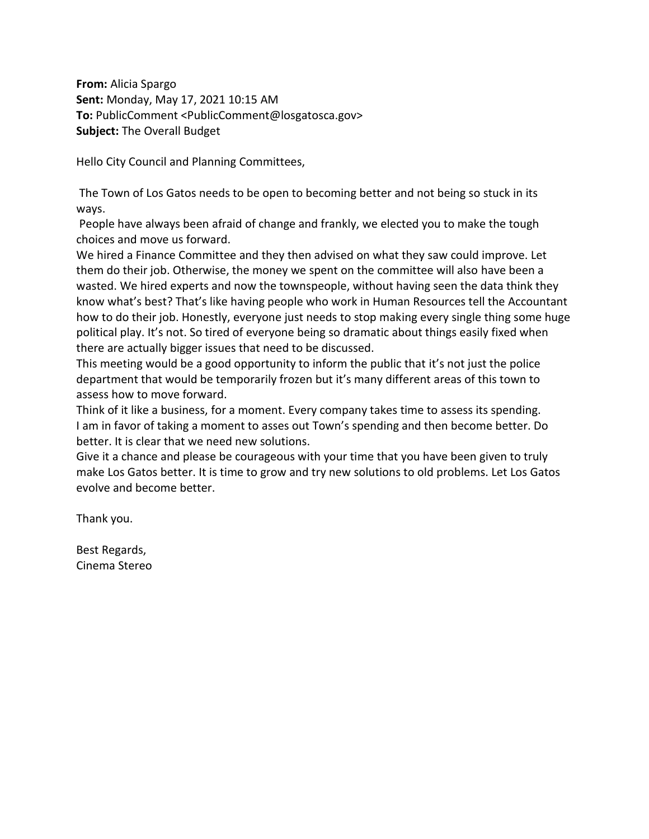**From:** Alicia Spargo **Sent:** Monday, May 17, 2021 10:15 AM **To:** PublicComment <PublicComment@losgatosca.gov> **Subject:** The Overall Budget

Hello City Council and Planning Committees,

The Town of Los Gatos needs to be open to becoming better and not being so stuck in its ways.

People have always been afraid of change and frankly, we elected you to make the tough choices and move us forward.

We hired a Finance Committee and they then advised on what they saw could improve. Let them do their job. Otherwise, the money we spent on the committee will also have been a wasted. We hired experts and now the townspeople, without having seen the data think they know what's best? That's like having people who work in Human Resources tell the Accountant how to do their job. Honestly, everyone just needs to stop making every single thing some huge political play. It's not. So tired of everyone being so dramatic about things easily fixed when there are actually bigger issues that need to be discussed.

This meeting would be a good opportunity to inform the public that it's not just the police department that would be temporarily frozen but it's many different areas of this town to assess how to move forward.

Think of it like a business, for a moment. Every company takes time to assess its spending. I am in favor of taking a moment to asses out Town's spending and then become better. Do better. It is clear that we need new solutions.

Give it a chance and please be courageous with your time that you have been given to truly make Los Gatos better. It is time to grow and try new solutions to old problems. Let Los Gatos evolve and become better.

Thank you.

Best Regards, Cinema Stereo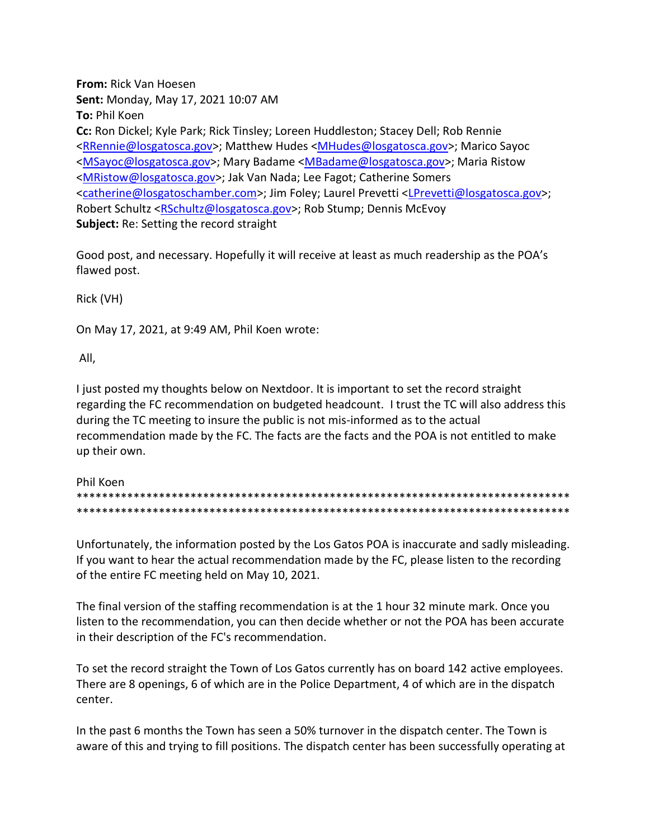**From:** Rick Van Hoesen **Sent:** Monday, May 17, 2021 10:07 AM **To:** Phil Koen **Cc:** Ron Dickel; Kyle Park; Rick Tinsley; Loreen Huddleston; Stacey Dell; Rob Rennie [<RRennie@losgatosca.gov>](mailto:RRennie@losgatosca.gov); Matthew Hudes [<MHudes@losgatosca.gov>](mailto:MHudes@losgatosca.gov); Marico Sayoc [<MSayoc@losgatosca.gov>](mailto:MSayoc@losgatosca.gov); Mary Badame [<MBadame@losgatosca.gov>](mailto:MBadame@losgatosca.gov); Maria Ristow [<MRistow@losgatosca.gov>](mailto:MRistow@losgatosca.gov); Jak Van Nada; Lee Fagot; Catherine Somers [<catherine@losgatoschamber.com>](mailto:catherine@losgatoschamber.com); Jim Foley; Laurel Prevetti [<LPrevetti@losgatosca.gov>](mailto:LPrevetti@losgatosca.gov); Robert Schultz [<RSchultz@losgatosca.gov>](mailto:RSchultz@losgatosca.gov); Rob Stump; Dennis McEvoy **Subject:** Re: Setting the record straight

Good post, and necessary. Hopefully it will receive at least as much readership as the POA's flawed post.

Rick (VH)

On May 17, 2021, at 9:49 AM, Phil Koen wrote:

All,

I just posted my thoughts below on Nextdoor. It is important to set the record straight regarding the FC recommendation on budgeted headcount. I trust the TC will also address this during the TC meeting to insure the public is not mis-informed as to the actual recommendation made by the FC. The facts are the facts and the POA is not entitled to make up their own.

| Phil Koen |
|-----------|
|           |
|           |

Unfortunately, the information posted by the Los Gatos POA is inaccurate and sadly misleading. If you want to hear the actual recommendation made by the FC, please listen to the recording of the entire FC meeting held on May 10, 2021.

The final version of the staffing recommendation is at the 1 hour 32 minute mark. Once you listen to the recommendation, you can then decide whether or not the POA has been accurate in their description of the FC's recommendation.

To set the record straight the Town of Los Gatos currently has on board 142 active employees. There are 8 openings, 6 of which are in the Police Department, 4 of which are in the dispatch center.

In the past 6 months the Town has seen a 50% turnover in the dispatch center. The Town is aware of this and trying to fill positions. The dispatch center has been successfully operating at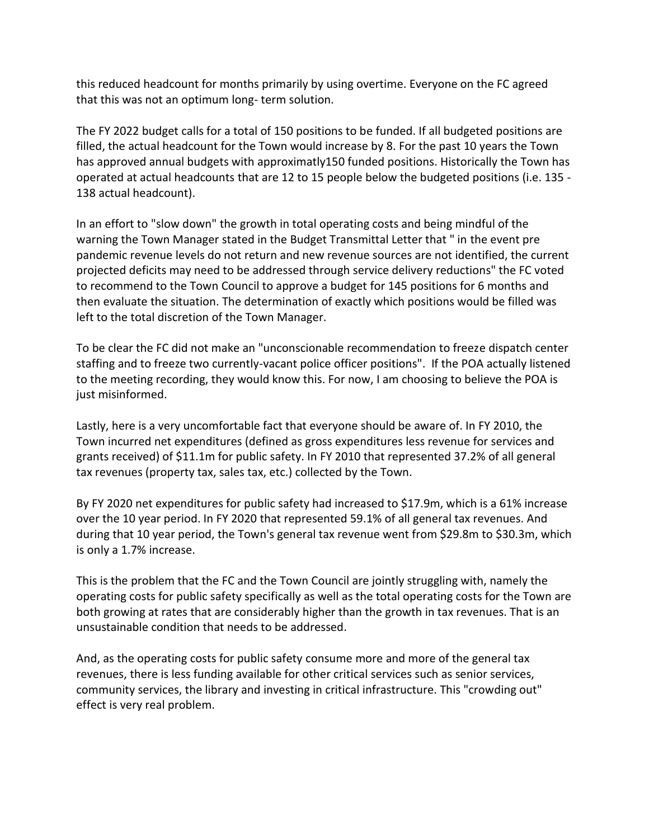this reduced headcount for months primarily by using overtime. Everyone on the FC agreed that this was not an optimum long- term solution.

The FY 2022 budget calls for a total of 150 positions to be funded. If all budgeted positions are filled, the actual headcount for the Town would increase by 8. For the past 10 years the Town has approved annual budgets with approximatly150 funded positions. Historically the Town has operated at actual headcounts that are 12 to 15 people below the budgeted positions (i.e. 135 - 138 actual headcount).

In an effort to "slow down" the growth in total operating costs and being mindful of the warning the Town Manager stated in the Budget Transmittal Letter that " in the event pre pandemic revenue levels do not return and new revenue sources are not identified, the current projected deficits may need to be addressed through service delivery reductions" the FC voted to recommend to the Town Council to approve a budget for 145 positions for 6 months and then evaluate the situation. The determination of exactly which positions would be filled was left to the total discretion of the Town Manager.

To be clear the FC did not make an "unconscionable recommendation to freeze dispatch center staffing and to freeze two currently-vacant police officer positions". If the POA actually listened to the meeting recording, they would know this. For now, I am choosing to believe the POA is just misinformed.

Lastly, here is a very uncomfortable fact that everyone should be aware of. In FY 2010, the Town incurred net expenditures (defined as gross expenditures less revenue for services and grants received) of \$11.1m for public safety. In FY 2010 that represented 37.2% of all general tax revenues (property tax, sales tax, etc.) collected by the Town.

By FY 2020 net expenditures for public safety had increased to \$17.9m, which is a 61% increase over the 10 year period. In FY 2020 that represented 59.1% of all general tax revenues. And during that 10 year period, the Town's general tax revenue went from \$29.8m to \$30.3m, which is only a 1.7% increase.

This is the problem that the FC and the Town Council are jointly struggling with, namely the operating costs for public safety specifically as well as the total operating costs for the Town are both growing at rates that are considerably higher than the growth in tax revenues. That is an unsustainable condition that needs to be addressed.

And, as the operating costs for public safety consume more and more of the general tax revenues, there is less funding available for other critical services such as senior services, community services, the library and investing in critical infrastructure. This "crowding out" effect is very real problem.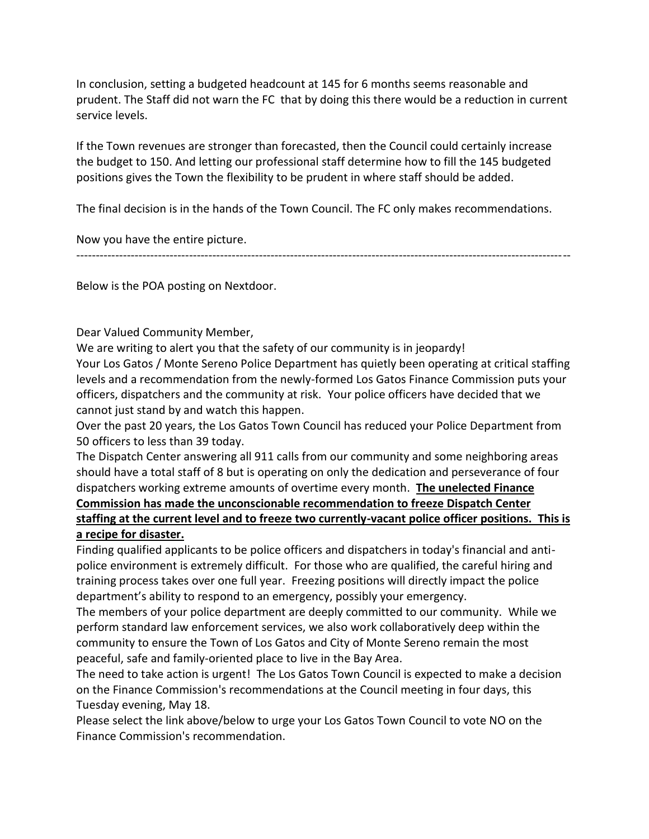In conclusion, setting a budgeted headcount at 145 for 6 months seems reasonable and prudent. The Staff did not warn the FC that by doing this there would be a reduction in current service levels.

If the Town revenues are stronger than forecasted, then the Council could certainly increase the budget to 150. And letting our professional staff determine how to fill the 145 budgeted positions gives the Town the flexibility to be prudent in where staff should be added.

The final decision is in the hands of the Town Council. The FC only makes recommendations.

Now you have the entire picture.

-------------------------------------------------------------------------------------------------------------------------------

Below is the POA posting on Nextdoor.

Dear Valued Community Member,

We are writing to alert you that the safety of our community is in jeopardy!

Your Los Gatos / Monte Sereno Police Department has quietly been operating at critical staffing levels and a recommendation from the newly-formed Los Gatos Finance Commission puts your officers, dispatchers and the community at risk. Your police officers have decided that we cannot just stand by and watch this happen.

Over the past 20 years, the Los Gatos Town Council has reduced your Police Department from 50 officers to less than 39 today.

The Dispatch Center answering all 911 calls from our community and some neighboring areas should have a total staff of 8 but is operating on only the dedication and perseverance of four dispatchers working extreme amounts of overtime every month. **The unelected Finance Commission has made the unconscionable recommendation to freeze Dispatch Center staffing at the current level and to freeze two currently-vacant police officer positions. This is** 

**a recipe for disaster.**

Finding qualified applicants to be police officers and dispatchers in today's financial and antipolice environment is extremely difficult. For those who are qualified, the careful hiring and training process takes over one full year. Freezing positions will directly impact the police department's ability to respond to an emergency, possibly your emergency.

The members of your police department are deeply committed to our community. While we perform standard law enforcement services, we also work collaboratively deep within the community to ensure the Town of Los Gatos and City of Monte Sereno remain the most peaceful, safe and family-oriented place to live in the Bay Area.

The need to take action is urgent! The Los Gatos Town Council is expected to make a decision on the Finance Commission's recommendations at the Council meeting in four days, this Tuesday evening, May 18.

Please select the link above/below to urge your Los Gatos Town Council to vote NO on the Finance Commission's recommendation.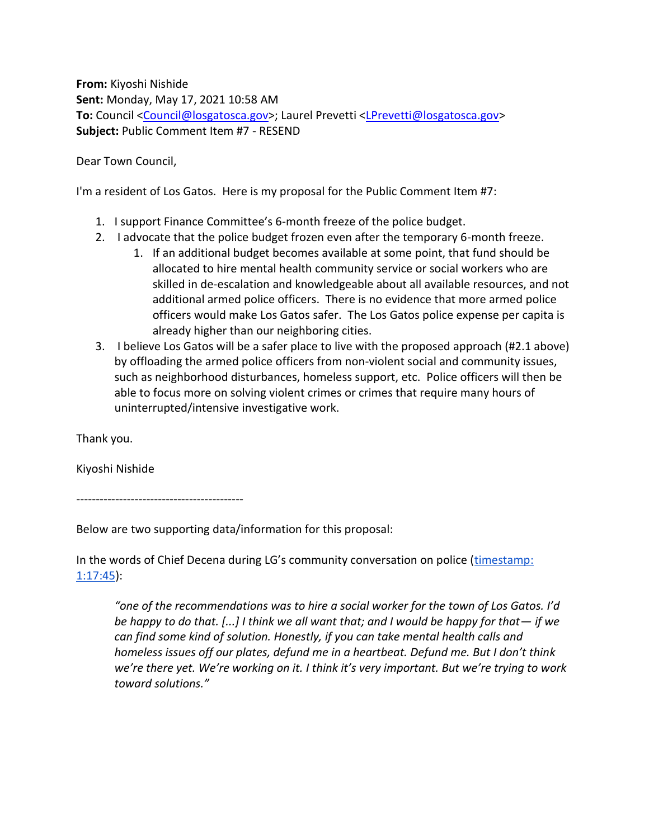**From:** Kiyoshi Nishide **Sent:** Monday, May 17, 2021 10:58 AM **To:** Council [<Council@losgatosca.gov>](mailto:Council@losgatosca.gov); Laurel Prevetti [<LPrevetti@losgatosca.gov>](mailto:LPrevetti@losgatosca.gov) **Subject:** Public Comment Item #7 - RESEND

Dear Town Council,

I'm a resident of Los Gatos. Here is my proposal for the Public Comment Item #7:

- 1. I support Finance Committee's 6-month freeze of the police budget.
- 2. I advocate that the police budget frozen even after the temporary 6-month freeze.
	- 1. If an additional budget becomes available at some point, that fund should be allocated to hire mental health community service or social workers who are skilled in de-escalation and knowledgeable about all available resources, and not additional armed police officers. There is no evidence that more armed police officers would make Los Gatos safer. The Los Gatos police expense per capita is already higher than our neighboring cities.
- 3. I believe Los Gatos will be a safer place to live with the proposed approach (#2.1 above) by offloading the armed police officers from non-violent social and community issues, such as neighborhood disturbances, homeless support, etc. Police officers will then be able to focus more on solving violent crimes or crimes that require many hours of uninterrupted/intensive investigative work.

Thank you.

Kiyoshi Nishide

-------------------------------------------

Below are two supporting data/information for this proposal:

In the words of Chief Decena during LG's community conversation on police (timestamp: [1:17:45\)](https://gcc02.safelinks.protection.outlook.com/?url=https%3A%2F%2Fwww.youtube.com%2Fwatch%3Fv%3D79K2XgExQzo&data=04%7C01%7CLPrevetti%40losgatosca.gov%7C463e643fc6ef4a0388dc08d9195d5692%7C6d38cb6747eb4d139e7c523cd7ccecd5%7C1%7C0%7C637568710952360425%7CUnknown%7CTWFpbGZsb3d8eyJWIjoiMC4wLjAwMDAiLCJQIjoiV2luMzIiLCJBTiI6Ik1haWwiLCJXVCI6Mn0%3D%7C1000&sdata=WrUo0Li2UmNSiqV3NZHQE07sQRbrgOpSYXuEipbU2mI%3D&reserved=0):

*"one of the recommendations was to hire a social worker for the town of Los Gatos. I'd be happy to do that.* [...] I think we all want that; and I would be happy for that — if we *can find some kind of solution. Honestly, if you can take mental health calls and homeless issues off our plates, defund me in a heartbeat. Defund me. But I don't think we're there yet. We're working on it. I think it's very important. But we're trying to work toward solutions."*